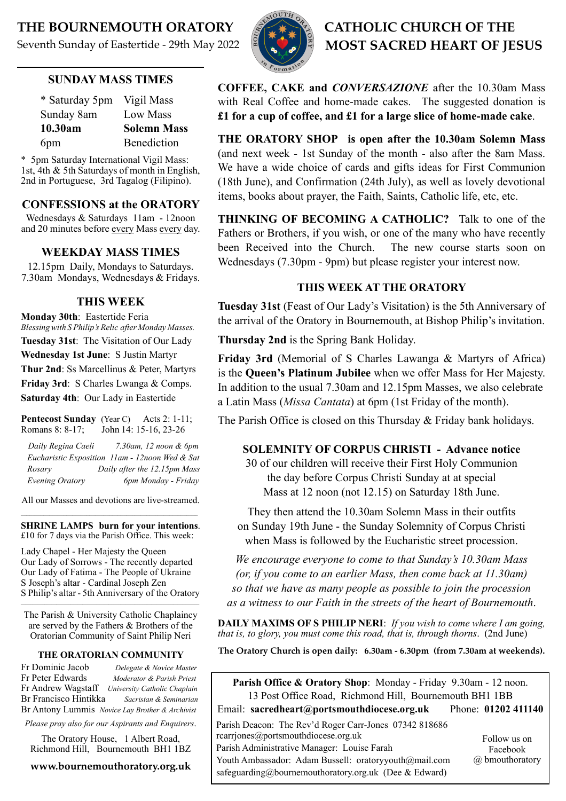## **THE BOURNEMOUTH ORATORY**

Seventh Sunday of Eastertide - 29th May 2022



# **CATHOLIC CHURCH OF THE MOST SACRED HEART OF JESUS**

#### **SUNDAY MASS TIMES**

| * Saturday 5pm | Vigil Mass         |
|----------------|--------------------|
| Sunday 8am     | Low Mass           |
| 10.30am        | <b>Solemn Mass</b> |
| 6pm            | Benediction        |

\* 5pm Saturday International Vigil Mass: 1st, 4th & 5th Saturdays of month in English, 2nd in Portuguese, 3rd Tagalog (Filipino).

#### **CONFESSIONS at the ORATORY**

Wednesdays & Saturdays 11am - 12noon and 20 minutes before every Mass every day.

#### **WEEKDAY MASS TIMES**

12.15pm Daily, Mondays to Saturdays. 7.30am Mondays, Wednesdays & Fridays.

#### **THIS WEEK**

**Monday 30th**: Eastertide Feria *Blessingwith S Philip's Relic after Monday Masses.*  **Tuesday 31st**: The Visitation of Our Lady **Wednesday 1st June**: S Justin Martyr **Thur 2nd**: Ss Marcellinus & Peter, Martyrs **Friday 3rd**: S Charles Lwanga & Comps. **Saturday 4th**: Our Lady in Eastertide

**Pentecost Sunday** (Year C) Acts 2: 1-11; Romans 8: 8-17; John 14: 15-16, 23-26

 *Daily Regina Caeli 7.30am, 12 noon & 6pm Eucharistic Exposition 11am - 12noon Wed & Sat Rosary Daily after the 12.15pm Mass Evening Oratory 6pm Monday - Friday* 

All our Masses and devotions are live-streamed.  $\mathcal{L}_\mathcal{L} = \{ \mathcal{L}_\mathcal{L} = \{ \mathcal{L}_\mathcal{L} = \{ \mathcal{L}_\mathcal{L} = \{ \mathcal{L}_\mathcal{L} = \{ \mathcal{L}_\mathcal{L} = \{ \mathcal{L}_\mathcal{L} = \{ \mathcal{L}_\mathcal{L} = \{ \mathcal{L}_\mathcal{L} = \{ \mathcal{L}_\mathcal{L} = \{ \mathcal{L}_\mathcal{L} = \{ \mathcal{L}_\mathcal{L} = \{ \mathcal{L}_\mathcal{L} = \{ \mathcal{L}_\mathcal{L} = \{ \mathcal{L}_\mathcal{$ 

#### **SHRINE LAMPS burn for your intentions**. £10 for 7 days via the Parish Office. This week:

Lady Chapel - Her Majesty the Queen Our Lady of Sorrows - The recently departed Our Lady of Fatima - The People of Ukraine S Joseph's altar - Cardinal Joseph Zen S Philip's altar - 5th Anniversary of the Oratory

The Parish & University Catholic Chaplaincy are served by the Fathers & Brothers of the Oratorian Community of Saint Philip Neri

#### **THE ORATORIAN COMMUNITY**

Fr Dominic Jacob *Delegate & Novice Master*  Fr Peter Edwards *Moderator & Parish Priest*  Fr Andrew Wagstaff *University Catholic Chaplain*  Br Francisco Hintikka *Sacristan & Seminarian*  Br Antony Lummis *Novice Lay Brother & Archivist* 

*Please pray also for our Aspirants and Enquirers*.

The Oratory House, 1 Albert Road, Richmond Hill, Bournemouth BH1 1BZ

**[www.bournemouthoratory.org.uk](http://www.bournemoithoratory.org.uk)**

**COFFEE, CAKE and** *CONVERSAZIONE* after the 10.30am Mass with Real Coffee and home-made cakes. The suggested donation is **£1 for a cup of coffee, and £1 for a large slice of home-made cake**.

**THE ORATORY SHOP is open after the 10.30am Solemn Mass** (and next week - 1st Sunday of the month - also after the 8am Mass. We have a wide choice of cards and gifts ideas for First Communion (18th June), and Confirmation (24th July), as well as lovely devotional items, books about prayer, the Faith, Saints, Catholic life, etc, etc.

**THINKING OF BECOMING A CATHOLIC?** Talk to one of the Fathers or Brothers, if you wish, or one of the many who have recently been Received into the Church. The new course starts soon on Wednesdays (7.30pm - 9pm) but please register your interest now.

### **THIS WEEK AT THE ORATORY**

**Tuesday 31st** (Feast of Our Lady's Visitation) is the 5th Anniversary of the arrival of the Oratory in Bournemouth, at Bishop Philip's invitation.

**Thursday 2nd** is the Spring Bank Holiday.

**Friday 3rd** (Memorial of S Charles Lawanga & Martyrs of Africa) is the **Queen's Platinum Jubilee** when we offer Mass for Her Majesty. In addition to the usual 7.30am and 12.15pm Masses, we also celebrate a Latin Mass (*Missa Cantata*) at 6pm (1st Friday of the month).

The Parish Office is closed on this Thursday & Friday bank holidays.

### **SOLEMNITY OF CORPUS CHRISTI - Advance notice**

30 of our children will receive their First Holy Communion the day before Corpus Christi Sunday at at special Mass at 12 noon (not 12.15) on Saturday 18th June.

They then attend the 10.30am Solemn Mass in their outfits on Sunday 19th June - the Sunday Solemnity of Corpus Christi when Mass is followed by the Eucharistic street procession.

*We encourage everyone to come to that Sunday's 10.30am Mass (or, if you come to an earlier Mass, then come back at 11.30am) so that we have as many people as possible to join the procession as a witness to our Faith in the streets of the heart of Bournemouth*.

**DAILY MAXIMS OF S PHILIP NERI**: *If you wish to come where I am going, that is, to glory, you must come this road, that is, through thorns*. (2nd June)

**The Oratory Church is open daily: 6.30am - 6.30pm (from 7.30am at weekends).**

**Parish Office & Oratory Shop**: Monday - Friday 9.30am - 12 noon. 13 Post Office Road, Richmond Hill, Bournemouth BH1 1BB Email: **[sacredheart@portsmouthdiocese.org.uk](mailto:sacredheart@portsmouthdiocese.org.uk)** Phone: **01202 411140**

Parish Deacon: The Rev'd Roger Carr-Jones 07342 818686 [rcarrjones@portsmouthdiocese.org.uk](mailto:rcarrjones@portsmouthdiocese.org.uk) Parish Administrative Manager: Louise Farah Youth Ambassador: Adam Bussell: [oratoryyouth@mail.com](http://oratoryyouth.mail.com) [safeguarding@bournemouthoratory.org.uk](mailto:safeguarding@bournemouthoratory.org.uk) (Dee & Edward)

Follow us on Facebook @ bmouthoratory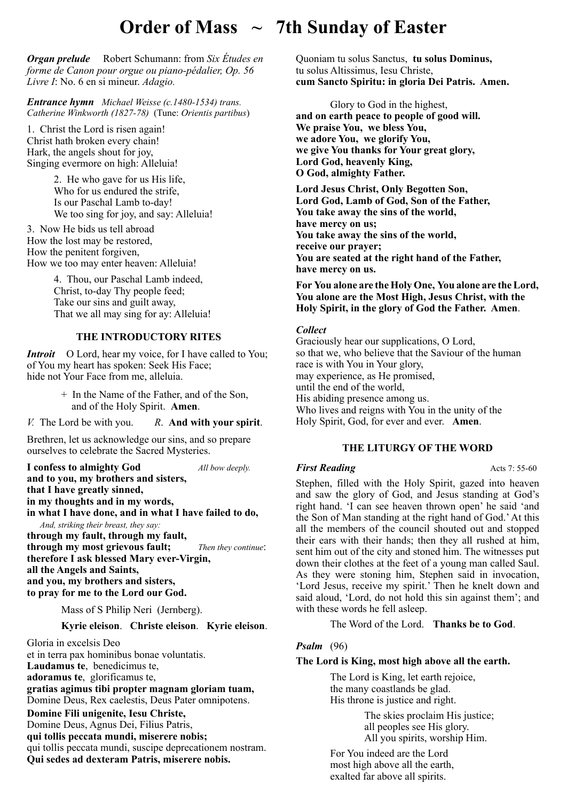# Order of Mass ~ 7th Sunday of Easter

*Organ prelude* Robert Schumann: from *Six Études en forme de Canon pour orgue ou piano-pédalier, Op. 56 Livre I*: No. 6 en si mineur. *Adagio.*

*Entrance hymn Michael Weisse (c.1480-1534) trans. Catherine Winkworth (1827-78)* (Tune: *Orientis partibus*)

1. Christ the Lord is risen again! Christ hath broken every chain! Hark, the angels shout for joy, Singing evermore on high: Alleluia!

> 2. He who gave for us His life, Who for us endured the strife, Is our Paschal Lamb to-day! We too sing for joy, and say: Alleluia!

3. Now He bids us tell abroad How the lost may be restored, How the penitent forgiven, How we too may enter heaven: Alleluia!

> 4. Thou, our Paschal Lamb indeed, Christ, to-day Thy people feed; Take our sins and guilt away, That we all may sing for ay: Alleluia!

#### **THE INTRODUCTORY RITES**

*Introit* O Lord, hear my voice, for I have called to You; of You my heart has spoken: Seek His Face; hide not Your Face from me, alleluia.

> + In the Name of the Father, and of the Son, and of the Holy Spirit. **Amen**.

*V.* The Lord be with you. *R*. **And with your spirit**.

Brethren, let us acknowledge our sins, and so prepare ourselves to celebrate the Sacred Mysteries.

**I confess to almighty God** *All bow deeply.*  **and to you, my brothers and sisters, that I have greatly sinned, in my thoughts and in my words, in what I have done, and in what I have failed to do,**   *And, striking their breast, they say:*  **through my fault, through my fault, through my most grievous fault;** *Then they continue*: **therefore I ask blessed Mary ever-Virgin, all the Angels and Saints, and you, my brothers and sisters, to pray for me to the Lord our God.** 

Mass of S Philip Neri (Jernberg).

#### **Kyrie eleison**. **Christe eleison**. **Kyrie eleison**.

Gloria in excelsis Deo et in terra pax hominibus bonae voluntatis. **Laudamus te**, benedicimus te, **adoramus te**, glorificamus te, **gratias agimus tibi propter magnam gloriam tuam,**  Domine Deus, Rex caelestis, Deus Pater omnipotens. **Domine Fili unigenite, Iesu Christe,** 

Domine Deus, Agnus Dei, Filius Patris, **qui tollis peccata mundi, miserere nobis;**  qui tollis peccata mundi, suscipe deprecationem nostram. **Qui sedes ad dexteram Patris, miserere nobis.** 

Quoniam tu solus Sanctus, **tu solus Dominus,**  tu solus Altissimus, Iesu Christe, **cum Sancto Spiritu: in gloria Dei Patris. Amen.** 

 Glory to God in the highest, **and on earth peace to people of good will. We praise You, we bless You, we adore You, we glorify You, we give You thanks for Your great glory, Lord God, heavenly King, O God, almighty Father.** 

**Lord Jesus Christ, Only Begotten Son, Lord God, Lamb of God, Son of the Father, You take away the sins of the world, have mercy on us; You take away the sins of the world, receive our prayer; You are seated at the right hand of the Father, have mercy on us.** 

**For You alone are the Holy One, You alone are theLord, You alone are the Most High, Jesus Christ, with the Holy Spirit, in the glory of God the Father. Amen**.

#### *Collect*

Graciously hear our supplications, O Lord, so that we, who believe that the Saviour of the human race is with You in Your glory, may experience, as He promised, until the end of the world, His abiding presence among us. Who lives and reigns with You in the unity of the Holy Spirit, God, for ever and ever. **Amen**.

#### **THE LITURGY OF THE WORD**

#### *First Reading* Acts 7: 55-60

Stephen, filled with the Holy Spirit, gazed into heaven and saw the glory of God, and Jesus standing at God's right hand. 'I can see heaven thrown open' he said 'and the Son of Man standing at the right hand of God.' At this all the members of the council shouted out and stopped their ears with their hands; then they all rushed at him, sent him out of the city and stoned him. The witnesses put down their clothes at the feet of a young man called Saul. As they were stoning him, Stephen said in invocation, 'Lord Jesus, receive my spirit.' Then he knelt down and said aloud, 'Lord, do not hold this sin against them'; and with these words he fell asleep.

The Word of the Lord. **Thanks be to God**.

#### *Psalm* (96)

#### **The Lord is King, most high above all the earth.**

 The Lord is King, let earth rejoice, the many coastlands be glad. His throne is justice and right.

> The skies proclaim His justice; all peoples see His glory. All you spirits, worship Him.

 For You indeed are the Lord most high above all the earth, exalted far above all spirits.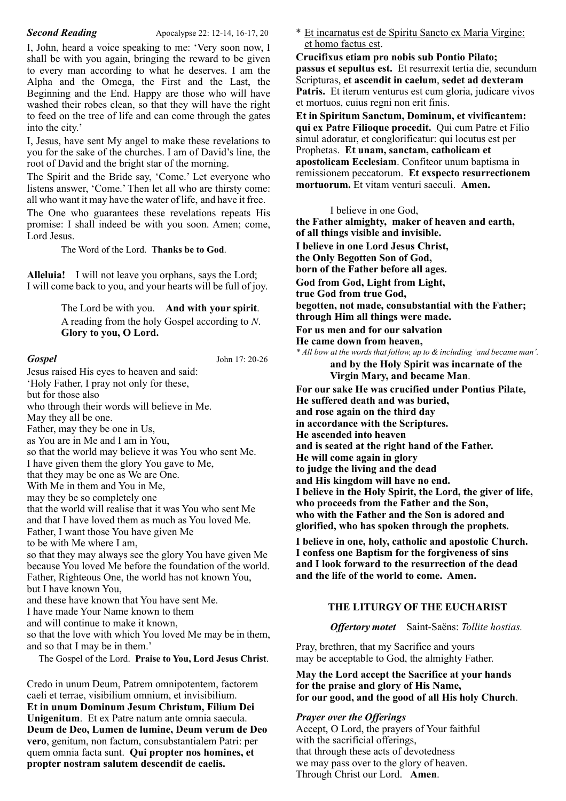**Second Reading** Apocalypse 22: 12-14, 16-17, 20

I, John, heard a voice speaking to me: 'Very soon now, I shall be with you again, bringing the reward to be given to every man according to what he deserves. I am the Alpha and the Omega, the First and the Last, the Beginning and the End. Happy are those who will have washed their robes clean, so that they will have the right to feed on the tree of life and can come through the gates into the city.'

I, Jesus, have sent My angel to make these revelations to you for the sake of the churches. I am of David's line, the root of David and the bright star of the morning.

The Spirit and the Bride say, 'Come.' Let everyone who listens answer, 'Come.' Then let all who are thirsty come: all who want it may have the water of life, and have it free.

The One who guarantees these revelations repeats His promise: I shall indeed be with you soon. Amen; come, Lord Jesus.

The Word of the Lord. **Thanks be to God**.

**Alleluia!** I will not leave you orphans, says the Lord; I will come back to you, and your hearts will be full of joy.

> The Lord be with you. **And with your spirit**. A reading from the holy Gospel according to *N*. **Glory to you, O Lord.**

*Gospel* John 17: 20-26

Jesus raised His eyes to heaven and said: 'Holy Father, I pray not only for these, but for those also who through their words will believe in Me. May they all be one. Father, may they be one in Us, as You are in Me and I am in You, so that the world may believe it was You who sent Me. I have given them the glory You gave to Me, that they may be one as We are One. With Me in them and You in Me, may they be so completely one that the world will realise that it was You who sent Me and that I have loved them as much as You loved Me. Father, I want those You have given Me to be with Me where I am, so that they may always see the glory You have given Me because You loved Me before the foundation of the world. Father, Righteous One, the world has not known You, but I have known You, and these have known that You have sent Me. I have made Your Name known to them and will continue to make it known, so that the love with which You loved Me may be in them, and so that I may be in them.'

The Gospel of the Lord. **Praise to You, Lord Jesus Christ**.

Credo in unum Deum, Patrem omnipotentem, factorem caeli et terrae, visibilium omnium, et invisibilium. **Et in unum Dominum Jesum Christum, Filium Dei Unigenitum**. Et ex Patre natum ante omnia saecula. **Deum de Deo, Lumen de lumine, Deum verum de Deo vero**, genitum, non factum, consubstantialem Patri: per quem omnia facta sunt. **Qui propter nos homines, et propter nostram salutem descendit de caelis.**

\* Et incarnatus est de Spiritu Sancto ex Maria Virgine: et homo factus est.

**Crucifixus etiam pro nobis sub Pontio Pilato; passus et sepultus est.** Et resurrexit tertia die, secundum Scripturas, **et ascendit in caelum**, **sedet ad dexteram**  Patris. Et iterum venturus est cum gloria, judicare vivos et mortuos, cuius regni non erit finis.

**Et in Spiritum Sanctum, Dominum, et vivificantem: qui ex Patre Filioque procedit.** Qui cum Patre et Filio simul adoratur, et conglorificatur: qui locutus est per Prophetas. **Et unam, sanctam, catholicam et apostolicam Ecclesiam**. Confiteor unum baptisma in remissionem peccatorum. **Et exspecto resurrectionem mortuorum.** Et vitam venturi saeculi. **Amen.**

 I believe in one God, **the Father almighty, maker of heaven and earth, of all things visible and invisible. I believe in one Lord Jesus Christ, the Only Begotten Son of God, born of the Father before all ages. God from God, Light from Light, true God from true God, begotten, not made, consubstantial with the Father; through Him all things were made. For us men and for our salvation He came down from heaven,**  *\* All bow at the words that follow, up to & including 'and became man'.*  **and by the Holy Spirit was incarnate of the Virgin Mary, and became Man**. **For our sake He was crucified under Pontius Pilate, He suffered death and was buried, and rose again on the third day in accordance with the Scriptures. He ascended into heaven and is seated at the right hand of the Father. He will come again in glory to judge the living and the dead and His kingdom will have no end. I believe in the Holy Spirit, the Lord, the giver of life, who proceeds from the Father and the Son, who with the Father and the Son is adored and glorified, who has spoken through the prophets.** 

**I believe in one, holy, catholic and apostolic Church. I confess one Baptism for the forgiveness of sins and I look forward to the resurrection of the dead and the life of the world to come. Amen.** 

#### **THE LITURGY OF THE EUCHARIST**

*Offertory motet* Saint-Saëns: *Tollite hostias.*

Pray, brethren, that my Sacrifice and yours may be acceptable to God, the almighty Father.

**May the Lord accept the Sacrifice at your hands for the praise and glory of His Name, for our good, and the good of all His holy Church**.

#### *Prayer over the Offerings*

Accept, O Lord, the prayers of Your faithful with the sacrificial offerings, that through these acts of devotedness we may pass over to the glory of heaven. Through Christ our Lord. **Amen**.